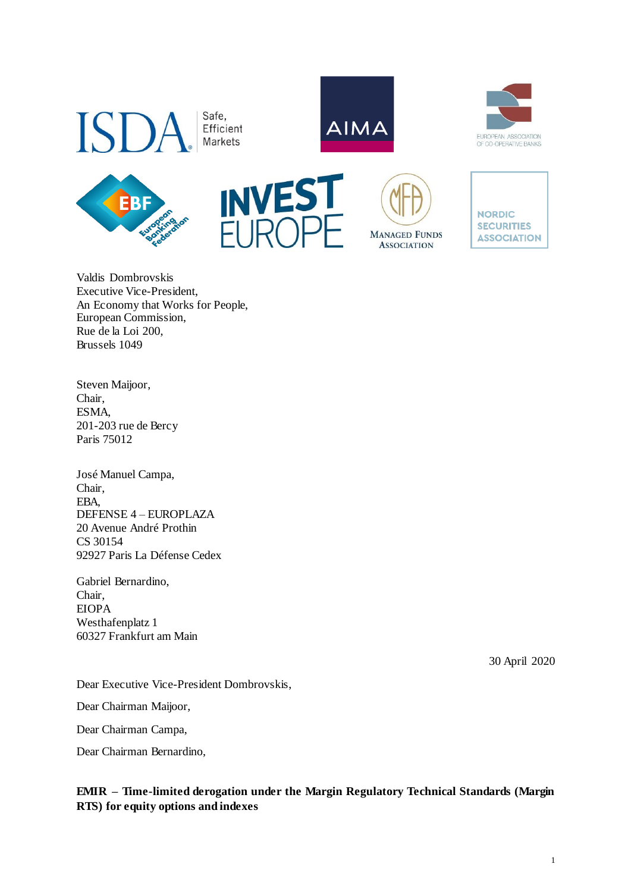

Safe. Efficient Markets













Valdis Dombrovskis Executive Vice-President, An Economy that Works for People, European Commission, Rue de la Loi 200, Brussels 1049

Steven Maijoor, Chair, ESMA, 201-203 rue de Bercy Paris 75012

José Manuel Campa, Chair, EBA, DEFENSE 4 – EUROPLAZA 20 Avenue André Prothin CS 30154 92927 Paris La Défense Cedex

Gabriel Bernardino, Chair, EIOPA Westhafenplatz 1 60327 Frankfurt am Main

30 April 2020

Dear Executive Vice-President Dombrovskis,

Dear Chairman Maijoor,

Dear Chairman Campa,

Dear Chairman Bernardino,

**EMIR – Time-limited derogation under the Margin Regulatory Technical Standards (Margin RTS) for equity options and indexes**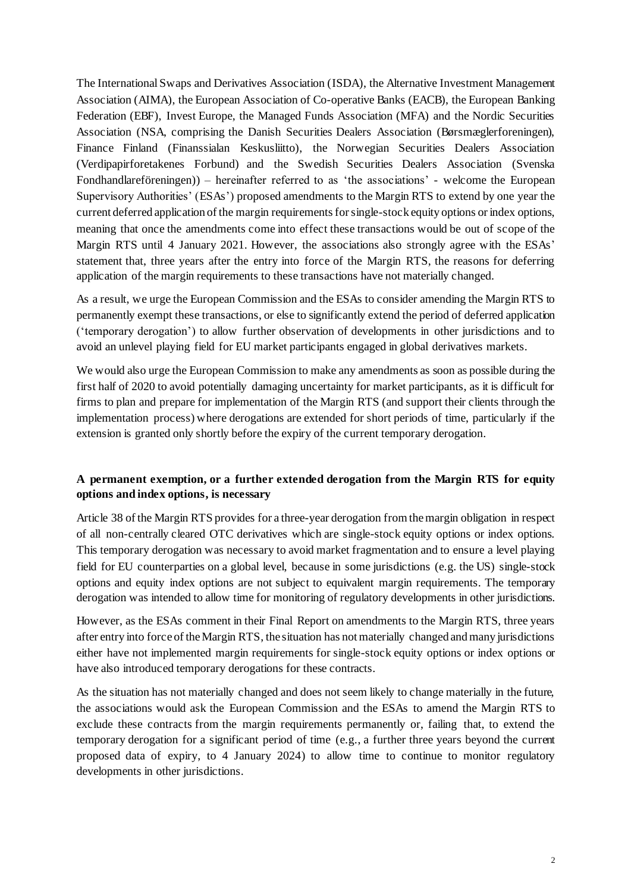The International Swaps and Derivatives Association (ISDA), the Alternative Investment Management Association (AIMA), the European Association of Co-operative Banks (EACB), the European Banking Federation (EBF), Invest Europe, the Managed Funds Association (MFA) and the Nordic Securities Association (NSA, comprising the Danish Securities Dealers Association (Børsmæglerforeningen), Finance Finland (Finanssialan Keskusliitto), the Norwegian Securities Dealers Association (Verdipapirforetakenes Forbund) and the Swedish Securities Dealers Association (Svenska Fondhandlareföreningen)) – hereinafter referred to as 'the associations' - welcome the European Supervisory Authorities' (ESAs') proposed amendments to the Margin RTS to extend by one year the current deferred application of the margin requirements for single-stock equity options or index options, meaning that once the amendments come into effect these transactions would be out of scope of the Margin RTS until 4 January 2021. However, the associations also strongly agree with the ESAs' statement that, three years after the entry into force of the Margin RTS, the reasons for deferring application of the margin requirements to these transactions have not materially changed.

As a result, we urge the European Commission and the ESAs to consider amending the Margin RTS to permanently exempt these transactions, or else to significantly extend the period of deferred application ('temporary derogation') to allow further observation of developments in other jurisdictions and to avoid an unlevel playing field for EU market participants engaged in global derivatives markets.

We would also urge the European Commission to make any amendments as soon as possible during the first half of 2020 to avoid potentially damaging uncertainty for market participants, as it is difficult for firms to plan and prepare for implementation of the Margin RTS (and support their clients through the implementation process) where derogations are extended for short periods of time, particularly if the extension is granted only shortly before the expiry of the current temporary derogation.

## **A permanent exemption, or a further extended derogation from the Margin RTS for equity options and index options, is necessary**

Article 38 of the Margin RTS provides for a three-year derogation from the margin obligation in respect of all non-centrally cleared OTC derivatives which are single-stock equity options or index options. This temporary derogation was necessary to avoid market fragmentation and to ensure a level playing field for EU counterparties on a global level, because in some jurisdictions (e.g. the US) single-stock options and equity index options are not subject to equivalent margin requirements. The temporary derogation was intended to allow time for monitoring of regulatory developments in other jurisdictions.

However, as the ESAs comment in their Final Report on amendments to the Margin RTS, three years after entry into force of the Margin RTS, the situation has not materially changed and many jurisdictions either have not implemented margin requirements for single-stock equity options or index options or have also introduced temporary derogations for these contracts.

As the situation has not materially changed and does not seem likely to change materially in the future, the associations would ask the European Commission and the ESAs to amend the Margin RTS to exclude these contracts from the margin requirements permanently or, failing that, to extend the temporary derogation for a significant period of time (e.g., a further three years beyond the current proposed data of expiry, to 4 January 2024) to allow time to continue to monitor regulatory developments in other jurisdictions.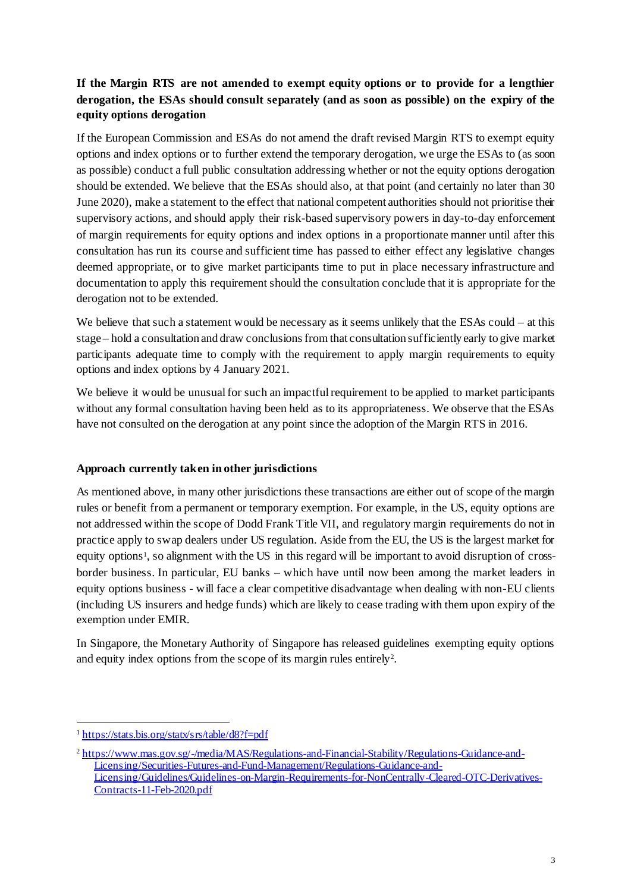# **If the Margin RTS are not amended to exempt equity options or to provide for a lengthier derogation, the ESAs should consult separately (and as soon as possible) on the expiry of the equity options derogation**

If the European Commission and ESAs do not amend the draft revised Margin RTS to exempt equity options and index options or to further extend the temporary derogation, we urge the ESAs to (as soon as possible) conduct a full public consultation addressing whether or not the equity options derogation should be extended. We believe that the ESAs should also, at that point (and certainly no later than 30 June 2020), make a statement to the effect that national competent authorities should not prioritise their supervisory actions, and should apply their risk-based supervisory powers in day-to-day enforcement of margin requirements for equity options and index options in a proportionate manner until after this consultation has run its course and sufficient time has passed to either effect any legislative changes deemed appropriate, or to give market participants time to put in place necessary infrastructure and documentation to apply this requirement should the consultation conclude that it is appropriate for the derogation not to be extended.

We believe that such a statement would be necessary as it seems unlikely that the ESAs could – at this stage – hold a consultation and draw conclusions from that consultation sufficiently early to give market participants adequate time to comply with the requirement to apply margin requirements to equity options and index options by 4 January 2021.

We believe it would be unusual for such an impactful requirement to be applied to market participants without any formal consultation having been held as to its appropriateness. We observe that the ESAs have not consulted on the derogation at any point since the adoption of the Margin RTS in 2016.

## **Approach currently taken in other jurisdictions**

As mentioned above, in many other jurisdictions these transactions are either out of scope of the margin rules or benefit from a permanent or temporary exemption. For example, in the US, equity options are not addressed within the scope of Dodd Frank Title VII, and regulatory margin requirements do not in practice apply to swap dealers under US regulation. Aside from the EU, the US is the largest market for equity options<sup>1</sup>, so alignment with the US in this regard will be important to avoid disruption of crossborder business. In particular, EU banks – which have until now been among the market leaders in equity options business - will face a clear competitive disadvantage when dealing with non-EU clients (including US insurers and hedge funds) which are likely to cease trading with them upon expiry of the exemption under EMIR.

In Singapore, the Monetary Authority of Singapore has released guidelines exempting equity options and equity index options from the scope of its margin rules entirely<sup>2</sup>.

<sup>1</sup> <sup>1</sup> <https://stats.bis.org/statx/srs/table/d8?f=pdf>

<sup>2</sup> [https://www.mas.gov.sg/-/media/MAS/Regulations-and-Financial-Stability/Regulations-Guidance-and-](https://www.mas.gov.sg/-/media/MAS/Regulations-and-Financial-Stability/Regulations-Guidance-and-Licensing/Securities-Futures-and-Fund-Management/Regulations-Guidance-and-Licensing/Guidelines/Guidelines-on-Margin-Requirements-for-NonCentrally-Cleared-OTC-Derivatives-Contracts-11-Feb-2020.pdf)[Licensing/Securities-Futures-and-Fund-Management/Regulations-Guidance-and-](https://www.mas.gov.sg/-/media/MAS/Regulations-and-Financial-Stability/Regulations-Guidance-and-Licensing/Securities-Futures-and-Fund-Management/Regulations-Guidance-and-Licensing/Guidelines/Guidelines-on-Margin-Requirements-for-NonCentrally-Cleared-OTC-Derivatives-Contracts-11-Feb-2020.pdf)[Licensing/Guidelines/Guidelines-on-Margin-Requirements-for-NonCentrally-Cleared-OTC-Derivatives-](https://www.mas.gov.sg/-/media/MAS/Regulations-and-Financial-Stability/Regulations-Guidance-and-Licensing/Securities-Futures-and-Fund-Management/Regulations-Guidance-and-Licensing/Guidelines/Guidelines-on-Margin-Requirements-for-NonCentrally-Cleared-OTC-Derivatives-Contracts-11-Feb-2020.pdf)[Contracts-11-Feb-2020.pdf](https://www.mas.gov.sg/-/media/MAS/Regulations-and-Financial-Stability/Regulations-Guidance-and-Licensing/Securities-Futures-and-Fund-Management/Regulations-Guidance-and-Licensing/Guidelines/Guidelines-on-Margin-Requirements-for-NonCentrally-Cleared-OTC-Derivatives-Contracts-11-Feb-2020.pdf)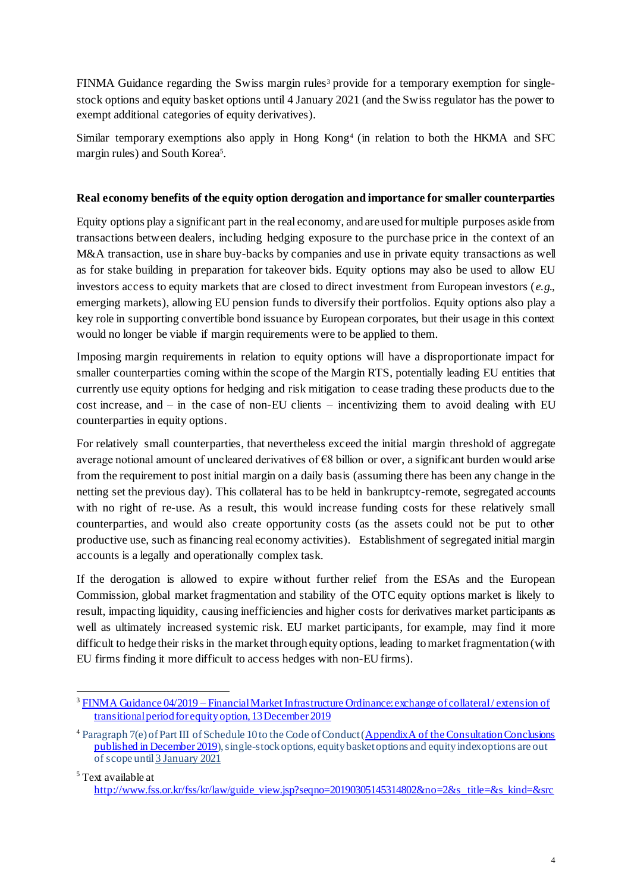FINMA Guidance regarding the Swiss margin rules<sup>3</sup> provide for a temporary exemption for singlestock options and equity basket options until 4 January 2021 (and the Swiss regulator has the power to exempt additional categories of equity derivatives).

Similar temporary exemptions also apply in Hong Kong<sup>4</sup> (in relation to both the HKMA and SFC margin rules) and South Korea<sup>5</sup>.

## **Real economy benefits of the equity option derogation and importance for smaller counterparties**

Equity options play a significant part in the real economy, and are used for multiple purposes aside from transactions between dealers, including hedging exposure to the purchase price in the context of an M&A transaction, use in share buy-backs by companies and use in private equity transactions as well as for stake building in preparation for takeover bids. Equity options may also be used to allow EU investors access to equity markets that are closed to direct investment from European investors (*e.g*., emerging markets), allowing EU pension funds to diversify their portfolios. Equity options also play a key role in supporting convertible bond issuance by European corporates, but their usage in this context would no longer be viable if margin requirements were to be applied to them.

Imposing margin requirements in relation to equity options will have a disproportionate impact for smaller counterparties coming within the scope of the Margin RTS, potentially leading EU entities that currently use equity options for hedging and risk mitigation to cease trading these products due to the  $cost$  increase, and – in the case of non-EU clients – incentivizing them to avoid dealing with EU counterparties in equity options.

For relatively small counterparties, that nevertheless exceed the initial margin threshold of aggregate average notional amount of uncleared derivatives of  $\epsilon$ 8 billion or over, a significant burden would arise from the requirement to post initial margin on a daily basis (assuming there has been any change in the netting set the previous day). This collateral has to be held in bankruptcy-remote, segregated accounts with no right of re-use. As a result, this would increase funding costs for these relatively small counterparties, and would also create opportunity costs (as the assets could not be put to other productive use, such as financing real economy activities). Establishment of segregated initial margin accounts is a legally and operationally complex task.

If the derogation is allowed to expire without further relief from the ESAs and the European Commission, global market fragmentation and stability of the OTC equity options market is likely to result, impacting liquidity, causing inefficiencies and higher costs for derivatives market participants as well as ultimately increased systemic risk. EU market participants, for example, may find it more difficult to hedge their risks in the market through equity options, leading to market fragmentation (with EU firms finding it more difficult to access hedges with non-EU firms).

 $\overline{a}$ <sup>3</sup> FINMA Guidance 04/2019 – [Financial Market Infrastructure Ordinance: exchange of collateral / extension of](https://www.finma.ch/en/~/media/finma/dokumente/dokumentencenter/myfinma/4dokumentation/finma-aufsichtsmitteilungen/20191213-finma-aufsichtsmitteilung-04-2019.pdf?la=en)  [transitional period for equity option, 13 December 2019](https://www.finma.ch/en/~/media/finma/dokumente/dokumentencenter/myfinma/4dokumentation/finma-aufsichtsmitteilungen/20191213-finma-aufsichtsmitteilung-04-2019.pdf?la=en)

<sup>4</sup> Paragraph 7(e) of Part III of Schedule 10 to the Code of Conduct [\(Appendix A of the Consultation Conclusions](https://www.sfc.hk/web/EN/files/SOM/OTC/Consultation%20Conclusion%20on%20OTCD%20Margin%20Dec%202019_Eng.pdf)  [published in December 2019\)](https://www.sfc.hk/web/EN/files/SOM/OTC/Consultation%20Conclusion%20on%20OTCD%20Margin%20Dec%202019_Eng.pdf), single-stock options, equity basket options and equity index options are out of scope until 3 January 2021

<sup>5</sup> Text available at [http://www.fss.or.kr/fss/kr/law/guide\\_view.jsp?seqno=20190305145314802&no=2&s\\_title=&s\\_kind=&src](http://www.fss.or.kr/fss/kr/law/guide_view.jsp?seqno=20190305145314802&no=2&s_title=&s_kind=&src)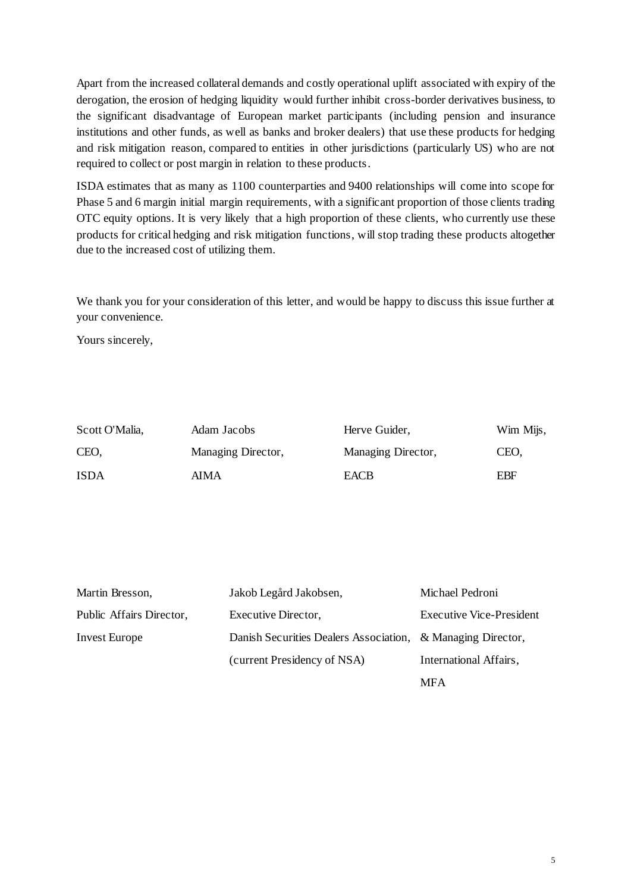Apart from the increased collateral demands and costly operational uplift associated with expiry of the derogation, the erosion of hedging liquidity would further inhibit cross-border derivatives business, to the significant disadvantage of European market participants (including pension and insurance institutions and other funds, as well as banks and broker dealers) that use these products for hedging and risk mitigation reason, compared to entities in other jurisdictions (particularly US) who are not required to collect or post margin in relation to these products.

ISDA estimates that as many as 1100 counterparties and 9400 relationships will come into scope for Phase 5 and 6 margin initial margin requirements, with a significant proportion of those clients trading OTC equity options. It is very likely that a high proportion of these clients, who currently use these products for critical hedging and risk mitigation functions, will stop trading these products altogether due to the increased cost of utilizing them.

We thank you for your consideration of this letter, and would be happy to discuss this issue further at your convenience.

Yours sincerely,

| Scott O'Malia, | Adam Jacobs        | Herve Guider,      | Wim Mijs, |
|----------------|--------------------|--------------------|-----------|
| CEO.           | Managing Director, | Managing Director, | CEO.      |
| <b>ISDA</b>    | <b>AIMA</b>        | <b>EACB</b>        | EBF       |

| Martin Bresson,          | Jakob Legård Jakobsen,                                      | Michael Pedroni                 |
|--------------------------|-------------------------------------------------------------|---------------------------------|
| Public Affairs Director, | Executive Director,                                         | <b>Executive Vice-President</b> |
| <b>Invest Europe</b>     | Danish Securities Dealers Association, & Managing Director, |                                 |
|                          | (current Presidency of NSA)                                 | International Affairs,          |
|                          |                                                             | MFA                             |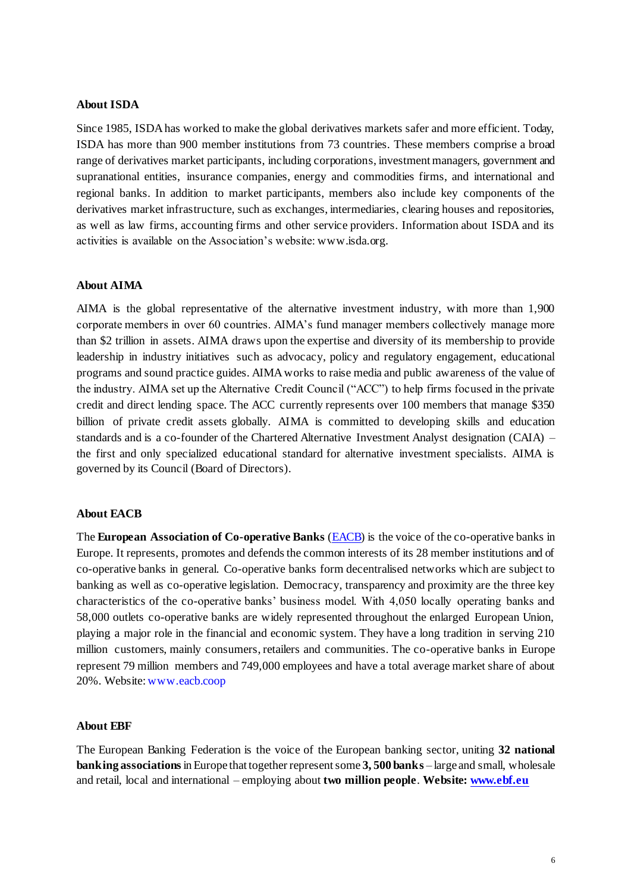## **About ISDA**

Since 1985, ISDA has worked to make the global derivatives markets safer and more efficient. Today, ISDA has more than 900 member institutions from 73 countries. These members comprise a broad range of derivatives market participants, including corporations, investment managers, government and supranational entities, insurance companies, energy and commodities firms, and international and regional banks. In addition to market participants, members also include key components of the derivatives market infrastructure, such as exchanges, intermediaries, clearing houses and repositories, as well as law firms, accounting firms and other service providers. Information about ISDA and its activities is available on the Association's website[: www.isda.org](http://www.isda.org/).

#### **About AIMA**

AIMA is the global representative of the alternative investment industry, with more than 1,900 corporate members in over 60 countries. AIMA's fund manager members collectively manage more than \$2 trillion in assets. AIMA draws upon the expertise and diversity of its membership to provide leadership in industry initiatives such as advocacy, policy and regulatory engagement, educational programs and sound practice guides. AIMA works to raise media and public awareness of the value of the industry. AIMA set up the Alternative Credit Council ("ACC") to help firms focused in the private credit and direct lending space. The ACC currently represents over 100 members that manage \$350 billion of private credit assets globally. AIMA is committed to developing skills and education standards and is a co-founder of the Chartered Alternative Investment Analyst designation (CAIA) – the first and only specialized educational standard for alternative investment specialists. AIMA is governed by its Council (Board of Directors).

#### **About EACB**

The **European Association of Co-operative Banks** [\(EACB\)](http://www.eacb.coop/en/home.html) is the voice of the co-operative banks in Europe. It represents, promotes and defends the common interests of its 28 member institutions and of co-operative banks in general. Co-operative banks form decentralised networks which are subject to banking as well as co-operative legislation. Democracy, transparency and proximity are the three key characteristics of the co-operative banks' business model. With 4,050 locally operating banks and 58,000 outlets co-operative banks are widely represented throughout the enlarged European Union, playing a major role in the financial and economic system. They have a long tradition in serving 210 million customers, mainly consumers, retailers and communities. The co-operative banks in Europe represent 79 million members and 749,000 employees and have a total average market share of about 20%. Website[: www.eacb.coop](http://www.eacb.coop/)

### **About EBF**

The European Banking Federation is the voice of the European banking sector, uniting **32 national banking associations**in Europe that together represent some **3, 500 banks** – large and small, wholesale and retail, local and international – employing about **two million people**. **Website[: www.ebf.eu](http://www.ebf.eu/)**